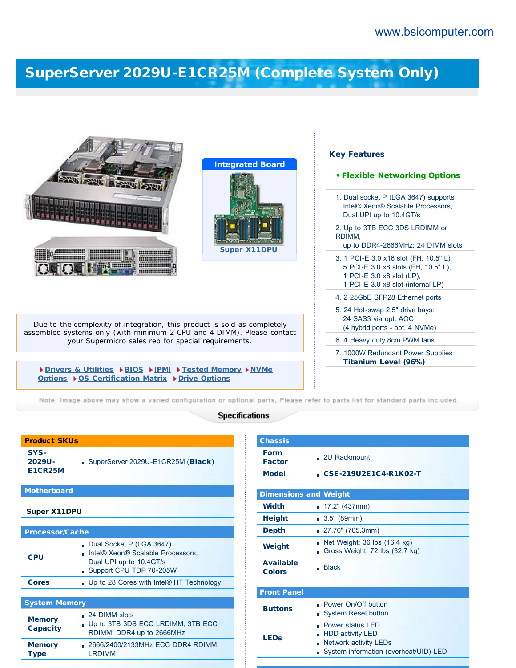## [SuperServer 2029U-E1CR25M \(Complete System Only\)](http://www.bsicomputer.com/products/2029u-e1cr25m-16390)

| <b>Integrated Board</b><br><b>Super X11DPU</b><br>,,,,,,,,,,,,<br>,,,,,,,,,,,,,,                                              | <b>Key Features</b><br><b>• Flexible Networking Options</b><br>1. Dual socket P (LGA 3647) supports<br>Intel® Xeon® Scalable Processors,<br>Dual UPI up to 10.4GT/s<br>2. Up to 3TB ECC 3DS LRDIMM or<br>RDIMM.<br>up to DDR4-2666MHz; 24 DIMM slots<br>3. 1 PCI-E 3.0 x16 slot (FH, 10.5" L),<br>5 PCI-E 3.0 x8 slots (FH, 10.5" L),<br>1 PCI-E 3.0 x8 slot (LP),<br>1 PCI-E 3.0 x8 slot (internal LP)<br>4. 2 25GbE SFP28 Ethernet ports |
|-------------------------------------------------------------------------------------------------------------------------------|--------------------------------------------------------------------------------------------------------------------------------------------------------------------------------------------------------------------------------------------------------------------------------------------------------------------------------------------------------------------------------------------------------------------------------------------|
| Due to the complexity of integration, this product is sold as completely                                                      | 5. 24 Hot-swap 2.5" drive bays:<br>24 SAS3 via opt. AOC                                                                                                                                                                                                                                                                                                                                                                                    |
| assembled systems only (with minimum 2 CPU and 4 DIMM). Please contact<br>your Supermicro sales rep for special requirements. | (4 hybrid ports - opt. 4 NVMe)<br>6. 4 Heavy duty 8cm PWM fans                                                                                                                                                                                                                                                                                                                                                                             |
|                                                                                                                               | 7. 1000W Redundant Power Supplies<br><b>Titanium Level (96%)</b>                                                                                                                                                                                                                                                                                                                                                                           |
| Drivers & Utilities DBIOS DIPMI DFested Memory DNVMe<br>Options ▶ OS Certification Matrix ▶ Drive Options                     |                                                                                                                                                                                                                                                                                                                                                                                                                                            |

Note: Image above may show a varied configuration or optional parts, Please refer to parts list for standard parts included.

## **Specifications**

| 2029U-<br><b>E1CR25M</b>         | SuperServer 2029U-E1CR25M (Black)                                                                                   |  |
|----------------------------------|---------------------------------------------------------------------------------------------------------------------|--|
|                                  |                                                                                                                     |  |
| <b>Motherboard</b>               |                                                                                                                     |  |
| <b>Super X11DPU</b>              |                                                                                                                     |  |
| <b>Processor/Cache</b>           |                                                                                                                     |  |
| <b>CPU</b>                       | Dual Socket P (LGA 3647)<br>Intel® Xeon® Scalable Processors,<br>Dual UPI up to 10.4GT/s<br>Support CPU TDP 70-205W |  |
| <b>Cores</b>                     | . Up to 28 Cores with Intel® HT Technology                                                                          |  |
|                                  |                                                                                                                     |  |
| <b>System Memory</b>             |                                                                                                                     |  |
| <b>Memory</b><br><b>Capacity</b> | . 24 DIMM slots<br>- Up to 3TB 3DS ECC LRDIMM, 3TB ECC<br>RDIMM, DDR4 up to 2666MHz                                 |  |
| <b>Memory</b><br><b>Type</b>     | 2666/2400/2133MHz ECC DDR4 RDIMM,<br><b>LRDIMM</b>                                                                  |  |

Product SKUs

SYS-

| <b>Chassis</b>                    |                                                                                                                             |  |  |
|-----------------------------------|-----------------------------------------------------------------------------------------------------------------------------|--|--|
| <b>Form</b><br><b>Factor</b>      | $.2U$ Rackmount                                                                                                             |  |  |
| <b>Model</b>                      | CSE-219U2E1C4-R1K02-T                                                                                                       |  |  |
|                                   |                                                                                                                             |  |  |
| <b>Dimensions and Weight</b>      |                                                                                                                             |  |  |
| <b>Width</b>                      | $\blacksquare$ 17.2" (437mm)                                                                                                |  |  |
| <b>Height</b>                     | 3.5" (89mm)                                                                                                                 |  |  |
| <b>Depth</b>                      | 27.76" (705.3mm)                                                                                                            |  |  |
| Weight                            | Net Weight: 36 lbs (16.4 kg)<br>Gross Weight: 72 lbs (32.7 kg)                                                              |  |  |
| <b>Available</b><br><b>Colors</b> | <b>Black</b>                                                                                                                |  |  |
|                                   |                                                                                                                             |  |  |
| <b>Front Panel</b>                |                                                                                                                             |  |  |
| <b>Buttons</b>                    | Power On/Off button<br><b>System Reset button</b><br>n                                                                      |  |  |
| <b>LEDs</b>                       | <b>Power status LED</b><br><b>HDD activity LED</b><br><b>Network activity LEDs</b><br>System information (overheat/UID) LED |  |  |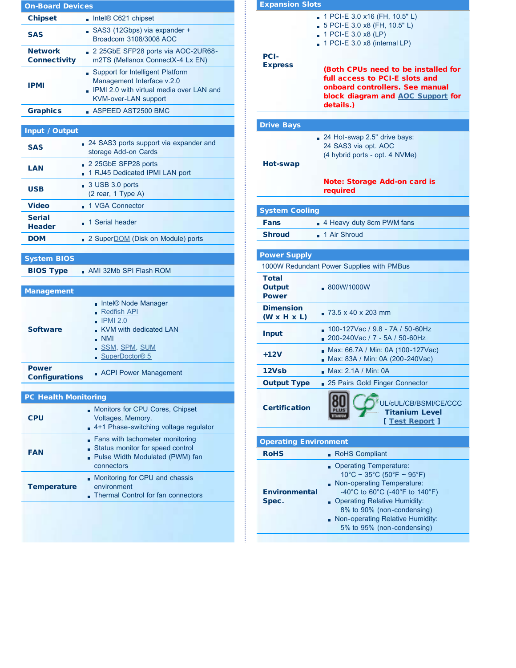| <b>On-Board Devices</b>                |                                                                                                                                               |  |  |  |
|----------------------------------------|-----------------------------------------------------------------------------------------------------------------------------------------------|--|--|--|
| <b>Chipset</b>                         | Intel® C621 chipset                                                                                                                           |  |  |  |
| <b>SAS</b>                             | SAS3 (12Gbps) via expander +<br>Broadcom 3108/3008 AOC                                                                                        |  |  |  |
| <b>Network</b><br><b>Connectivity</b>  | 2 25GbE SFP28 ports via AOC-2UR68-<br>m2TS (Mellanox ConnectX-4 Lx EN)                                                                        |  |  |  |
| <b>IPMI</b>                            | Support for Intelligent Platform<br>Management Interface v.2.0<br>. IPMI 2.0 with virtual media over LAN and<br><b>KVM-over-LAN support</b>   |  |  |  |
| <b>Graphics</b>                        | $\blacksquare$ ASPEED AST2500 BMC                                                                                                             |  |  |  |
|                                        |                                                                                                                                               |  |  |  |
| <b>Input / Output</b>                  |                                                                                                                                               |  |  |  |
| <b>SAS</b>                             | 24 SAS3 ports support via expander and<br>storage Add-on Cards                                                                                |  |  |  |
| LAN                                    | 2 25GbE SFP28 ports<br>1 RJ45 Dedicated IPMI LAN port                                                                                         |  |  |  |
| USB                                    | 3 USB 3.0 ports<br>(2 rear, 1 Type A)                                                                                                         |  |  |  |
| <b>Video</b>                           | 1 VGA Connector                                                                                                                               |  |  |  |
| <b>Serial</b><br><b>Header</b>         | 1 Serial header                                                                                                                               |  |  |  |
| <b>DOM</b>                             | 2 Super <b>DOM</b> (Disk on Module) ports                                                                                                     |  |  |  |
| <b>System BIOS</b><br><b>BIOS Type</b> | AMI 32Mb SPI Flash ROM                                                                                                                        |  |  |  |
| <b>Management</b>                      |                                                                                                                                               |  |  |  |
| <b>Software</b>                        | Intel® Node Manager<br><u>- Redfish API</u><br><b>IPMI 2.0</b><br>KVM with dedicated LAN<br>. NMI<br><u>. SSM, SPM, SUM</u><br>SuperDoctor® 5 |  |  |  |
| <b>Power</b><br><b>Configurations</b>  | <b>ACPI Power Management</b>                                                                                                                  |  |  |  |
|                                        |                                                                                                                                               |  |  |  |
| <b>PC Health Monitoring</b>            |                                                                                                                                               |  |  |  |
| <b>CPU</b>                             | Monitors for CPU Cores, Chipset<br>Voltages, Memory.<br>4+1 Phase-switching voltage regulator                                                 |  |  |  |
| <b>FAN</b>                             | Fans with tachometer monitoring<br>Status monitor for speed control<br>Pulse Width Modulated (PWM) fan<br>connectors                          |  |  |  |
| <b>Temperature</b>                     | Monitoring for CPU and chassis<br>environment<br>Thermal Control for fan connectors                                                           |  |  |  |
|                                        |                                                                                                                                               |  |  |  |

| <b>Expansion Slots</b>                                                                                                                                     |
|------------------------------------------------------------------------------------------------------------------------------------------------------------|
| 1 PCI-E 3.0 x16 (FH, 10.5" L)<br>5 PCI-E 3.0 x8 (FH, 10.5" L)<br>1 PCI-E 3.0 x8 (LP)<br>$\blacksquare$ 1 PCI-E 3.0 x8 (internal LP)                        |
| (Both CPUs need to be installed for<br>full access to PCI-E slots and<br>onboard controllers. See manual<br>block diagram and AOC Support for<br>details.) |
|                                                                                                                                                            |
| 24 Hot-swap 2.5" drive bays:<br>24 SAS3 via opt. AOC<br>(4 hybrid ports - opt. 4 NVMe)                                                                     |
| Note: Storage Add-on card is<br>required                                                                                                                   |
| <b>System Cooling</b>                                                                                                                                      |
| 4 Heavy duty 8cm PWM fans                                                                                                                                  |
| . 1 Air Shroud                                                                                                                                             |
| <b>Power Supply</b><br>1000W Redundant Power Supplies with PMBus<br>. 800W/1000W                                                                           |
| 73.5 x 40 x 203 mm                                                                                                                                         |
| 100-127Vac / 9.8 - 7A / 50-60Hz<br>■ 200-240Vac / 7 - 5A / 50-60Hz                                                                                         |
| Max: 66.7A / Min: 0A (100-127Vac)<br>п<br>Max: 83A / Min: 0A (200-240Vac)                                                                                  |
| Max: 2.1A / Min: 0A                                                                                                                                        |
| 25 Pairs Gold Finger Connector<br><b>Output Type</b>                                                                                                       |
| JL/cUL/CB/BSMI/CE/CCC<br><b>Certification</b><br><b>Titanium Level</b><br>[ Test Report ]                                                                  |
| <b>Operating Environment</b>                                                                                                                               |
| <b>RoHS Compliant</b><br>H                                                                                                                                 |
| <b>Operating Temperature:</b><br>$10^{\circ}$ C ~ 35°C (50°F ~ 95°F)<br>Non-operating Temperature:                                                         |
|                                                                                                                                                            |